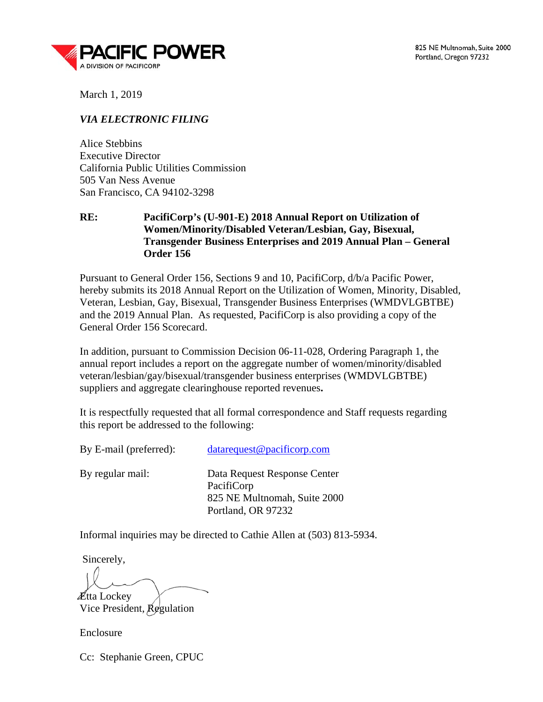

825 NE Multnomah, Suite 2000 Portland, Oregon 97232

March 1, 2019

## *VIA ELECTRONIC FILING*

Alice Stebbins Executive Director California Public Utilities Commission 505 Van Ness Avenue San Francisco, CA 94102-3298

## **RE: PacifiCorp's (U-901-E) 2018 Annual Report on Utilization of Women/Minority/Disabled Veteran/Lesbian, Gay, Bisexual, Transgender Business Enterprises and 2019 Annual Plan – General Order 156**

Pursuant to General Order 156, Sections 9 and 10, PacifiCorp, d/b/a Pacific Power, hereby submits its 2018 Annual Report on the Utilization of Women, Minority, Disabled, Veteran, Lesbian, Gay, Bisexual, Transgender Business Enterprises (WMDVLGBTBE) and the 2019 Annual Plan. As requested, PacifiCorp is also providing a copy of the General Order 156 Scorecard.

In addition, pursuant to Commission Decision 06-11-028, Ordering Paragraph 1, the annual report includes a report on the aggregate number of women/minority/disabled veteran/lesbian/gay/bisexual/transgender business enterprises (WMDVLGBTBE) suppliers and aggregate clearinghouse reported revenues**.**

It is respectfully requested that all formal correspondence and Staff requests regarding this report be addressed to the following:

| By E-mail (preferred): | data request @ pacificorp.com                                                                    |
|------------------------|--------------------------------------------------------------------------------------------------|
| By regular mail:       | Data Request Response Center<br>PacifiCorp<br>825 NE Multnomah, Suite 2000<br>Portland, OR 97232 |

Informal inquiries may be directed to Cathie Allen at (503) 813-5934.

Sincerely,

**Ætta Lockey** 

Vice President, Regulation

**Enclosure** 

Cc: Stephanie Green, CPUC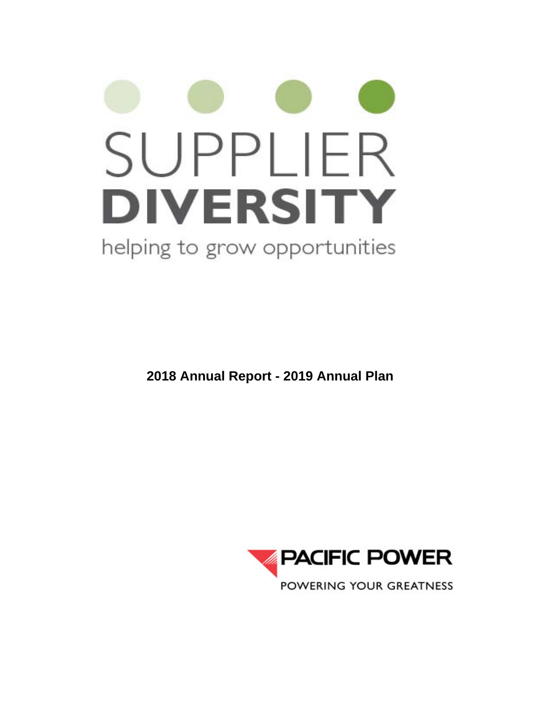# SUPPLIER **DIVERSITY** helping to grow opportunities

**2018 Annual Report - 2019 Annual Plan**

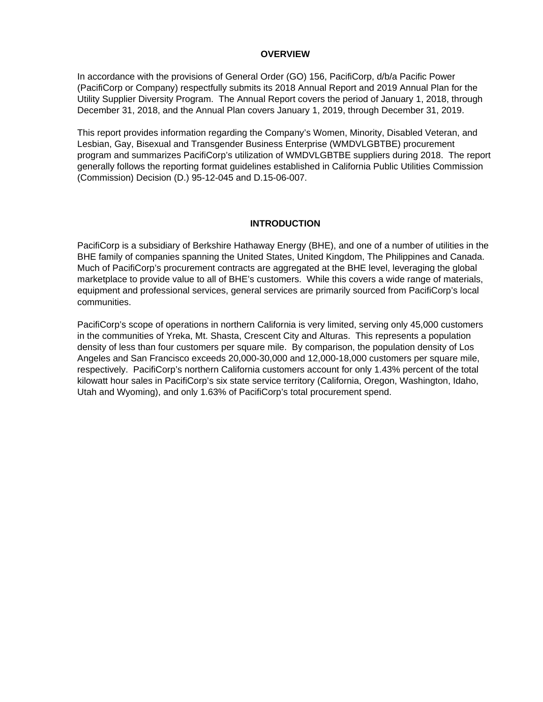## **OVERVIEW**

In accordance with the provisions of General Order (GO) 156, PacifiCorp, d/b/a Pacific Power (PacifiCorp or Company) respectfully submits its 2018 Annual Report and 2019 Annual Plan for the Utility Supplier Diversity Program. The Annual Report covers the period of January 1, 2018, through December 31, 2018, and the Annual Plan covers January 1, 2019, through December 31, 2019.

This report provides information regarding the Company's Women, Minority, Disabled Veteran, and Lesbian, Gay, Bisexual and Transgender Business Enterprise (WMDVLGBTBE) procurement program and summarizes PacifiCorp's utilization of WMDVLGBTBE suppliers during 2018. The report generally follows the reporting format guidelines established in California Public Utilities Commission (Commission) Decision (D.) 95-12-045 and D.15-06-007.

## **INTRODUCTION**

PacifiCorp is a subsidiary of Berkshire Hathaway Energy (BHE), and one of a number of utilities in the BHE family of companies spanning the United States, United Kingdom, The Philippines and Canada. Much of PacifiCorp's procurement contracts are aggregated at the BHE level, leveraging the global marketplace to provide value to all of BHE's customers. While this covers a wide range of materials, equipment and professional services, general services are primarily sourced from PacifiCorp's local communities.

PacifiCorp's scope of operations in northern California is very limited, serving only 45,000 customers in the communities of Yreka, Mt. Shasta, Crescent City and Alturas. This represents a population density of less than four customers per square mile. By comparison, the population density of Los Angeles and San Francisco exceeds 20,000-30,000 and 12,000-18,000 customers per square mile, respectively. PacifiCorp's northern California customers account for only 1.43% percent of the total kilowatt hour sales in PacifiCorp's six state service territory (California, Oregon, Washington, Idaho, Utah and Wyoming), and only 1.63% of PacifiCorp's total procurement spend.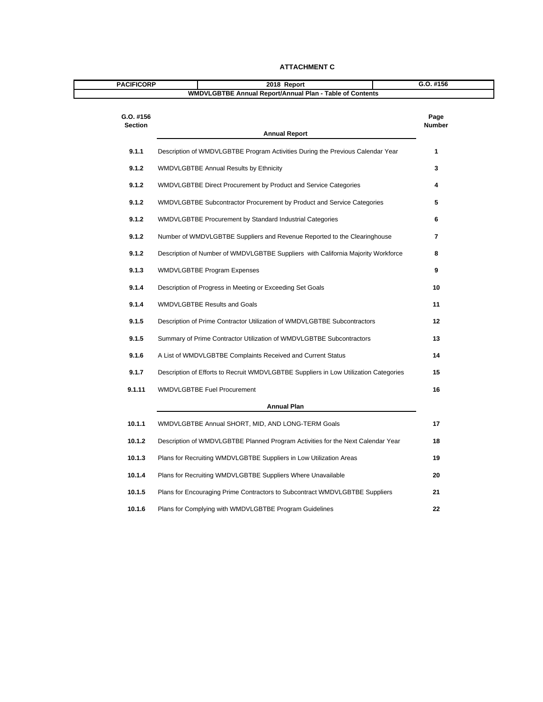| <b>PACIFICORP</b>           | 2018 Report                                                                          | $G.0.$ #156    |
|-----------------------------|--------------------------------------------------------------------------------------|----------------|
|                             | <b>WMDVLGBTBE Annual Report/Annual Plan - Table of Contents</b>                      |                |
| G.O. #156<br><b>Section</b> | <b>Annual Report</b>                                                                 | Page<br>Number |
| 9.1.1                       | Description of WMDVLGBTBE Program Activities During the Previous Calendar Year       | 1              |
| 9.1.2                       | <b>WMDVLGBTBE Annual Results by Ethnicity</b>                                        | 3              |
| 9.1.2                       | WMDVLGBTBE Direct Procurement by Product and Service Categories                      | 4              |
| 9.1.2                       | WMDVLGBTBE Subcontractor Procurement by Product and Service Categories               | 5              |
| 9.1.2                       | WMDVLGBTBE Procurement by Standard Industrial Categories                             | 6              |
| 9.1.2                       | Number of WMDVLGBTBE Suppliers and Revenue Reported to the Clearinghouse             | $\overline{7}$ |
| 9.1.2                       | Description of Number of WMDVLGBTBE Suppliers with California Majority Workforce     | 8              |
| 9.1.3                       | <b>WMDVLGBTBE Program Expenses</b>                                                   | 9              |
| 9.1.4                       | Description of Progress in Meeting or Exceeding Set Goals                            | 10             |
| 9.1.4                       | <b>WMDVLGBTBE Results and Goals</b>                                                  | 11             |
| 9.1.5                       | Description of Prime Contractor Utilization of WMDVLGBTBE Subcontractors             | $12 \,$        |
| 9.1.5                       | Summary of Prime Contractor Utilization of WMDVLGBTBE Subcontractors                 | 13             |
| 9.1.6                       | A List of WMDVLGBTBE Complaints Received and Current Status                          | 14             |
| 9.1.7                       | Description of Efforts to Recruit WMDVLGBTBE Suppliers in Low Utilization Categories | 15             |
| 9.1.11                      | <b>WMDVLGBTBE Fuel Procurement</b>                                                   | 16             |
|                             | <b>Annual Plan</b>                                                                   |                |
| 10.1.1                      | WMDVLGBTBE Annual SHORT, MID, AND LONG-TERM Goals                                    | 17             |
| 10.1.2                      | Description of WMDVLGBTBE Planned Program Activities for the Next Calendar Year      | 18             |
| 10.1.3                      | Plans for Recruiting WMDVLGBTBE Suppliers in Low Utilization Areas                   | 19             |
| 10.1.4                      | Plans for Recruiting WMDVLGBTBE Suppliers Where Unavailable                          | 20             |
| 10.1.5                      | Plans for Encouraging Prime Contractors to Subcontract WMDVLGBTBE Suppliers          | 21             |
| 10.1.6                      | Plans for Complying with WMDVLGBTBE Program Guidelines                               | 22             |

#### **ATTACHMENT C**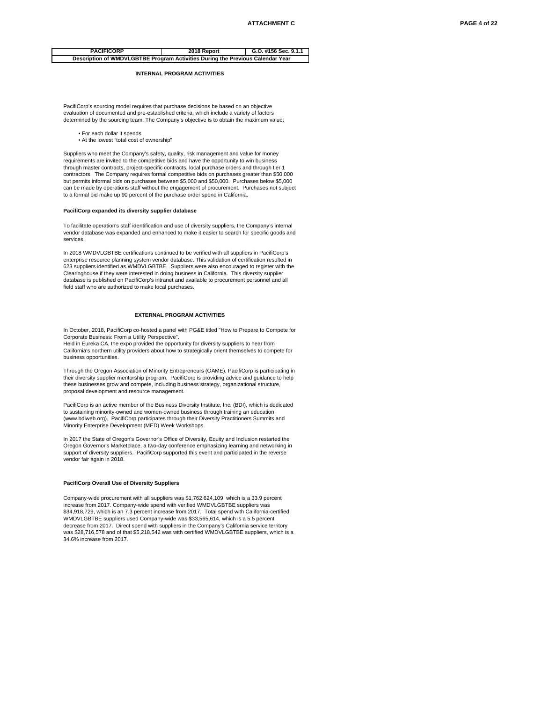| <b>PACIFICORP</b>                                                              | 2018 Report | G.O. #156 Sec. 9.1.1 |
|--------------------------------------------------------------------------------|-------------|----------------------|
| Description of WMDVLGBTBE Program Activities During the Previous Calendar Year |             |                      |

#### **INTERNAL PROGRAM ACTIVITIES**

PacifiCorp's sourcing model requires that purchase decisions be based on an objective evaluation of documented and pre-established criteria, which include a variety of factors determined by the sourcing team. The Company's objective is to obtain the maximum value:

- For each dollar it spends
- At the lowest "total cost of ownership"

Suppliers who meet the Company's safety, quality, risk management and value for money requirements are invited to the competitive bids and have the opportunity to win business through master contracts, project-specific contracts, local purchase orders and through tier 1 contractors. The Company requires formal competitive bids on purchases greater than \$50,000 but permits informal bids on purchases between \$5,000 and \$50,000. Purchases below \$5,000 can be made by operations staff without the engagement of procurement. Purchases not subject to a formal bid make up 90 percent of the purchase order spend in California.

#### **PacifiCorp expanded its diversity supplier database**

To facilitate operation's staff identification and use of diversity suppliers, the Company's internal vendor database was expanded and enhanced to make it easier to search for specific goods and services.

In 2018 WMDVLGBTBE certifications continued to be verified with all suppliers in PacifiCorp's enterprise resource planning system vendor database. This validation of certification resulted in 623 suppliers identified as WMDVLGBTBE. Suppliers were also encouraged to register with the Clearinghouse if they were interested in doing business in California. This diversity supplier database is published on PacifiCorp's intranet and available to procurement personnel and all field staff who are authorized to make local purchases.

#### **EXTERNAL PROGRAM ACTIVITIES**

In October, 2018, PacifiCorp co-hosted a panel with PG&E titled "How to Prepare to Compete for Corporate Business: From a Utility Perspective".

Held in Eureka CA, the expo provided the opportunity for diversity suppliers to hear from California's northern utility providers about how to strategically orient themselves to compete for business opportunities.

Through the Oregon Association of Minority Entrepreneurs (OAME), PacifiCorp is participating in their diversity supplier mentorship program. PacifiCorp is providing advice and guidance to help these businesses grow and compete, including business strategy, organizational structure, proposal development and resource management.

PacifiCorp is an active member of the Business Diversity Institute, Inc. (BDI), which is dedicated to sustaining minority-owned and women-owned business through training an education (www.bdiweb.org). PacifiCorp participates through their Diversity Practitioners Summits and Minority Enterprise Development (MED) Week Workshops.

In 2017 the State of Oregon's Governor's Office of Diversity, Equity and Inclusion restarted the Oregon Governor's Marketplace, a two-day conference emphasizing learning and networking in support of diversity suppliers. PacifiCorp supported this event and participated in the reverse vendor fair again in 2018.

#### **PacifiCorp Overall Use of Diversity Suppliers**

Company-wide procurement with all suppliers was \$1,762,624,109, which is a 33.9 percent increase from 2017. Company-wide spend with verified WMDVLGBTBE suppliers was \$34,918,729, which is an 7.3 percent increase from 2017. Total spend with California-certified WMDVLGBTBE suppliers used Company-wide was \$33,565,614, which is a 5.5 percent decrease from 2017. Direct spend with suppliers in the Company's California service territory was \$28,716,578 and of that \$5,218,542 was with certified WMDVLGBTBE suppliers, which is a 34.6% increase from 2017.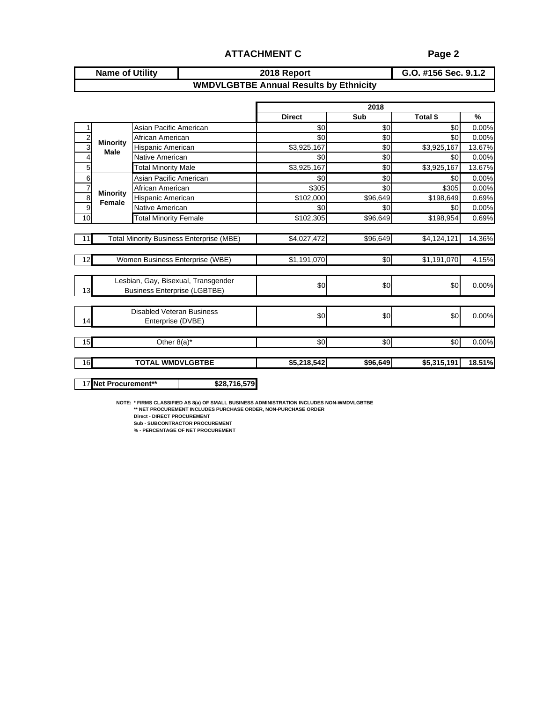## **ATTACHMENT C Page 2**

#### **G.O. #156 Sec. 9.1.2 Name of Utility 2018 Report WMDVLGBTBE Annual Results by Ethnicity**

|                |                           |                                                 |               | 2018     |             |               |
|----------------|---------------------------|-------------------------------------------------|---------------|----------|-------------|---------------|
|                |                           |                                                 | <b>Direct</b> | Sub      | Total \$    | $\frac{9}{6}$ |
|                |                           | Asian Pacific American                          | \$0           | \$0      | \$0         | 0.00%         |
| $\overline{c}$ |                           | African American                                | \$0           | \$0      | \$0         | 0.00%         |
| 3              | <b>Minority</b><br>Male   | Hispanic American                               | \$3,925,167   | \$0      | \$3,925,167 | 13.67%        |
| 4              |                           | Native American                                 | \$0           | \$0      | \$0         | 0.00%         |
| $\overline{5}$ |                           | <b>Total Minority Male</b>                      | \$3,925,167   | \$0      | \$3,925,167 | 13.67%        |
| 6              |                           | Asian Pacific American                          | \$0           | \$0      | \$0         | 0.00%         |
| $\frac{7}{8}$  |                           | African American                                | \$305         | \$0      | \$305       | 0.00%         |
|                | <b>Minority</b><br>Female | Hispanic American                               | \$102,000     | \$96,649 | \$198,649   | 0.69%         |
| 9              |                           | Native American                                 | \$0           | \$0      | \$0         | 0.00%         |
| 10             |                           | <b>Total Minority Female</b>                    | \$102,305     | \$96,649 | \$198,954   | 0.69%         |
|                |                           |                                                 |               |          |             |               |
| 11             |                           | <b>Total Minority Business Enterprise (MBE)</b> | \$4,027,472   | \$96,649 | \$4,124,121 | 14.36%        |
|                |                           |                                                 |               |          |             |               |
| 12             |                           | Women Business Enterprise (WBE)                 | \$1,191,070   | \$0      | \$1,191,070 | 4.15%         |
|                |                           |                                                 |               |          |             |               |
|                |                           | Lesbian, Gay, Bisexual, Transgender             |               |          |             |               |
| 13             |                           | <b>Business Enterprise (LGBTBE)</b>             | \$0           | \$0      | \$0         | 0.00%         |
|                |                           |                                                 |               |          |             |               |
|                |                           | <b>Disabled Veteran Business</b>                |               |          |             |               |
| 14             |                           | Enterprise (DVBE)                               | \$0           | \$0      | \$0         | 0.00%         |
|                |                           |                                                 |               |          |             |               |
| 15             |                           | Other $8(a)^*$                                  | \$0           | \$0      | \$0         | 0.00%         |
|                |                           |                                                 |               |          |             |               |
| 16             |                           | <b>TOTAL WMDVLGBTBE</b>                         | \$5,218,542   | \$96,649 | \$5,315,191 | 18.51%        |
|                |                           |                                                 |               |          |             |               |
|                | 17 Net Procurement**      | \$28,716,579                                    |               |          |             |               |

**NOTE: \* FIRMS CLASSIFIED AS 8(a) OF SMALL BUSINESS ADMINISTRATION INCLUDES NON-WMDVLGBTBE \*\* NET PROCUREMENT INCLUDES PURCHASE ORDER, NON-PURCHASE ORDER**

**Direct - DIRECT PROCUREMENT**

**Sub - SUBCONTRACTOR PROCUREMENT % - PERCENTAGE OF NET PROCUREMENT**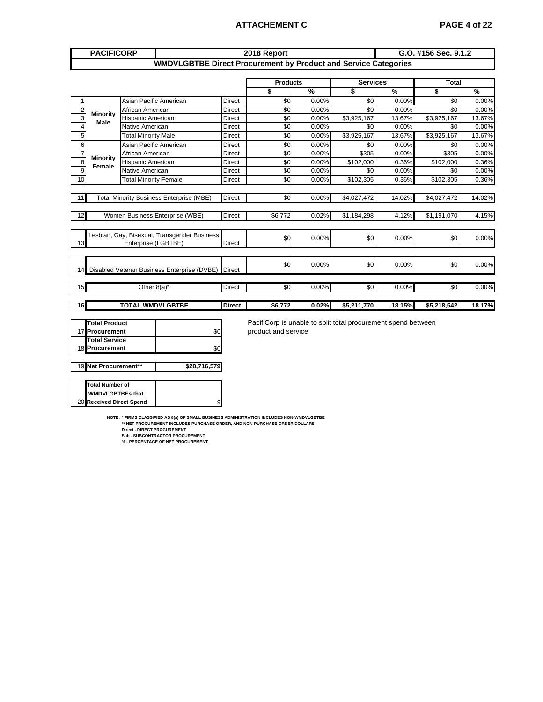## **ATTACHEMENT C PAGE 4 of 22**

|                         | <b>PACIFICORP</b>                                                                |                                                      |                                                                        |                | 2018 Report                                                                          |               |                 | G.O. #156 Sec. 9.1.2 |              |        |  |  |
|-------------------------|----------------------------------------------------------------------------------|------------------------------------------------------|------------------------------------------------------------------------|----------------|--------------------------------------------------------------------------------------|---------------|-----------------|----------------------|--------------|--------|--|--|
|                         |                                                                                  |                                                      | <b>WMDVLGBTBE Direct Procurement by Product and Service Categories</b> |                |                                                                                      |               |                 |                      |              |        |  |  |
|                         |                                                                                  |                                                      |                                                                        |                | <b>Products</b>                                                                      |               | <b>Services</b> |                      | <b>Total</b> |        |  |  |
|                         |                                                                                  |                                                      |                                                                        |                | \$                                                                                   | $\frac{9}{6}$ | \$              | %                    | \$           | %      |  |  |
| 1                       |                                                                                  | Asian Pacific American                               |                                                                        | <b>Direct</b>  | \$0                                                                                  | 0.00%         | \$0             | 0.00%                | \$0          | 0.00%  |  |  |
| $\boldsymbol{2}$        |                                                                                  | African American                                     |                                                                        | <b>Direct</b>  | \$0                                                                                  | 0.00%         | \$0             | 0.00%                | \$0          | 0.00%  |  |  |
| 3                       | <b>Minority</b><br><b>Male</b>                                                   | Hispanic American                                    |                                                                        | Direct         | \$0                                                                                  | 0.00%         | \$3,925,167     | 13.67%               | \$3,925,167  | 13.67% |  |  |
| $\overline{\mathbf{4}}$ |                                                                                  | Native American                                      |                                                                        | Direct         | \$0                                                                                  | 0.00%         | \$0             | 0.00%                | \$0          | 0.00%  |  |  |
| 5                       |                                                                                  | <b>Total Minority Male</b><br>Asian Pacific American |                                                                        |                | \$0                                                                                  | 0.00%         | \$3,925,167     | 13.67%               | \$3,925,167  | 13.67% |  |  |
| $\,6$                   |                                                                                  |                                                      |                                                                        |                | \$0                                                                                  | 0.00%         | \$0             | 0.00%                | \$0          | 0.00%  |  |  |
| $\overline{7}$          |                                                                                  | African American                                     |                                                                        |                | \$0                                                                                  | 0.00%         | \$305           | 0.00%                | \$305        | 0.00%  |  |  |
| $\overline{8}$          | <b>Minority</b><br><b>Female</b>                                                 | Hispanic American<br>Native American                 |                                                                        |                | \$0                                                                                  | 0.00%         | \$102,000       | 0.36%                | \$102,000    | 0.36%  |  |  |
| 9                       |                                                                                  | <b>Total Minority Female</b>                         |                                                                        |                | \$0                                                                                  | 0.00%         | \$0             | 0.00%                | \$0          | 0.00%  |  |  |
| 10                      |                                                                                  |                                                      |                                                                        |                | $\overline{50}$                                                                      | 0.00%         | \$102,305       | 0.36%                | \$102,305    | 0.36%  |  |  |
| 11                      |                                                                                  | <b>Total Minority Business Enterprise (MBE)</b>      |                                                                        |                | \$0                                                                                  | 0.00%         | \$4,027,472     | 14.02%               | \$4,027,472  | 14.02% |  |  |
| 12                      | Women Business Enterprise (WBE)                                                  |                                                      |                                                                        | <b>Direct</b>  | \$6,772                                                                              | 0.02%         | \$1,184,298     | 4.12%                | \$1,191,070  | 4.15%  |  |  |
| 13                      |                                                                                  | Enterprise (LGBTBE)                                  | Lesbian, Gay, Bisexual, Transgender Business                           | <b>Direct</b>  | \$0                                                                                  | 0.00%         | \$0             | 0.00%                | \$0          | 0.00%  |  |  |
| 14                      |                                                                                  |                                                      | Disabled Veteran Business Enterprise (DVBE)                            | <b>IDirect</b> | \$0                                                                                  | 0.00%         | \$0             | 0.00%                | \$0          | 0.00%  |  |  |
| 15                      |                                                                                  | Other $8(a)^*$                                       |                                                                        | <b>Direct</b>  | \$0                                                                                  | 0.00%         | $\overline{50}$ | 0.00%                | \$0          | 0.00%  |  |  |
| 16                      |                                                                                  | <b>TOTAL WMDVLGBTBE</b>                              |                                                                        | <b>Direct</b>  | \$6,772                                                                              | 0.02%         | \$5,211,770     | 18.15%               | \$5,218,542  | 18.17% |  |  |
|                         | <b>Total Product</b><br>17 Procurement<br><b>Total Service</b><br>18 Procurement |                                                      | \$0<br>\$0                                                             |                | PacifiCorp is unable to split total procurement spend between<br>product and service |               |                 |                      |              |        |  |  |
|                         | 19 Net Procurement**                                                             |                                                      | \$28,716,579                                                           |                |                                                                                      |               |                 |                      |              |        |  |  |
|                         | <b>Total Number of</b>                                                           |                                                      |                                                                        |                |                                                                                      |               |                 |                      |              |        |  |  |

NOTE: \* FIRMS CLASSIFIED AS 8(a) OF SMALL BUSINESS ADMINISTRATION INCLUDES NON-WMDVLGBTBE<br>\*\* NET PROCUREMENT INCLUDES PURCHASE ORDER, AND NON-PURCHASE ORDER DOLLARS<br>Direct-DIRECT PROCUREMENT<br>Sub - SUBCONTRACTOR PROCUREMENT 9

20 **Received Direct Spend**

 **WMDVLGBTBEs that**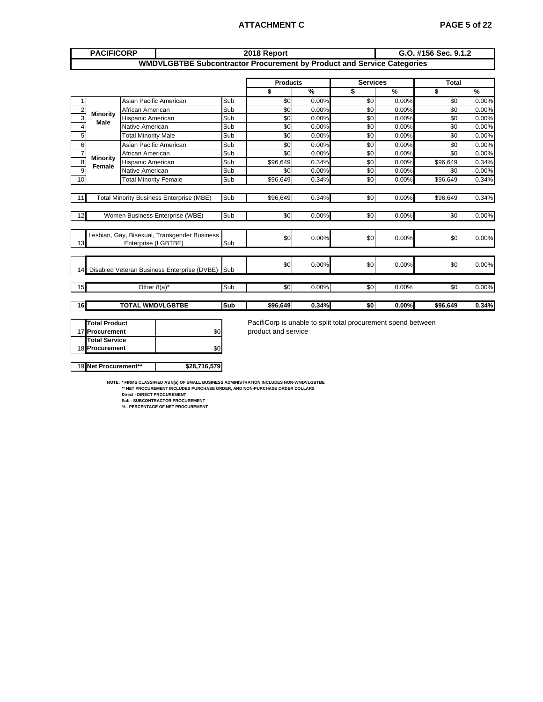## **ATTACHMENT C PAGE 5 of 22**

|                | <b>PACIFICORP</b>              |                                                |                                                                               |            | 2018 Report                                                   |               |                 |       | G.O. #156 Sec. 9.1.2 |               |
|----------------|--------------------------------|------------------------------------------------|-------------------------------------------------------------------------------|------------|---------------------------------------------------------------|---------------|-----------------|-------|----------------------|---------------|
|                |                                |                                                | <b>WMDVLGBTBE Subcontractor Procurement by Product and Service Categories</b> |            |                                                               |               |                 |       |                      |               |
|                |                                |                                                |                                                                               |            | <b>Products</b>                                               |               | <b>Services</b> |       | <b>Total</b>         |               |
|                |                                |                                                |                                                                               |            | \$                                                            | $\frac{9}{6}$ | \$              | %     | \$                   | $\frac{9}{6}$ |
| $\mathbf{1}$   |                                | Asian Pacific American                         |                                                                               | Sub        | \$0                                                           | 0.00%         | \$0             | 0.00% | \$0                  | 0.00%         |
| $\overline{c}$ |                                | African American                               |                                                                               | Sub        | \$0                                                           | 0.00%         | \$0             | 0.00% | \$0                  | 0.00%         |
| $\overline{3}$ | <b>Minority</b><br><b>Male</b> | Hispanic American                              |                                                                               | Sub        | \$0                                                           | 0.00%         | \$0             | 0.00% | \$0                  | 0.00%         |
| $\overline{4}$ |                                | Native American                                |                                                                               | Sub        | \$0                                                           | 0.00%         | \$0             | 0.00% | \$0                  | 0.00%         |
| 5              |                                | <b>Total Minority Male</b>                     |                                                                               | Sub        | \$0                                                           | 0.00%         | \$0             | 0.00% | \$0                  | 0.00%         |
| 6              |                                | Asian Pacific American                         |                                                                               | Sub        | \$0                                                           | 0.00%         | \$0             | 0.00% | \$0                  | 0.00%         |
| $\overline{7}$ |                                | African American<br><b>Minority</b>            |                                                                               |            | \$0                                                           | 0.00%         | \$0             | 0.00% | \$0                  | 0.00%         |
| $\overline{8}$ |                                | Hispanic American<br>Female<br>Native American |                                                                               |            | \$96,649                                                      | 0.34%         | \$0             | 0.00% | \$96,649             | 0.34%         |
| $\overline{9}$ |                                |                                                |                                                                               | Sub        | \$0                                                           | 0.00%         | \$0             | 0.00% | \$0                  | 0.00%         |
| 10             |                                | <b>Total Minority Female</b>                   |                                                                               | Sub        | \$96,649                                                      | 0.34%         | \$0             | 0.00% | \$96,649             | 0.34%         |
|                |                                |                                                |                                                                               |            |                                                               |               |                 |       |                      |               |
| 11             |                                |                                                | <b>Total Minority Business Enterprise (MBE)</b>                               | Sub        | \$96,649                                                      | 0.34%         | \$0             | 0.00% | \$96,649             | 0.34%         |
|                |                                |                                                |                                                                               |            |                                                               |               |                 |       |                      |               |
| 12             |                                |                                                | Women Business Enterprise (WBE)                                               | Sub        | \$0                                                           | 0.00%         | \$0             | 0.00% | \$0                  | 0.00%         |
|                |                                |                                                |                                                                               |            |                                                               |               |                 |       |                      |               |
|                |                                |                                                | Lesbian, Gay, Bisexual, Transgender Business                                  |            | \$0                                                           | 0.00%         | \$0             | 0.00% | \$0                  | 0.00%         |
| 13             |                                | Enterprise (LGBTBE)                            |                                                                               | Sub        |                                                               |               |                 |       |                      |               |
|                |                                |                                                |                                                                               |            |                                                               |               |                 |       |                      |               |
|                |                                |                                                | Disabled Veteran Business Enterprise (DVBE)                                   | <b>Sub</b> | \$0                                                           | 0.00%         | \$0             | 0.00% | \$0                  | 0.00%         |
| 14             |                                |                                                |                                                                               |            |                                                               |               |                 |       |                      |               |
| 15             |                                | Other $8(a)^*$                                 |                                                                               | Sub        | \$0                                                           | 0.00%         | \$0             | 0.00% | \$0                  | 0.00%         |
|                |                                |                                                |                                                                               |            |                                                               |               |                 |       |                      |               |
| 16             |                                | <b>TOTAL WMDVLGBTBE</b>                        |                                                                               | Sub        | \$96,649                                                      | 0.34%         | \$0             | 0.00% | \$96.649             | 0.34%         |
|                |                                |                                                |                                                                               |            |                                                               |               |                 |       |                      |               |
|                | <b>Total Product</b>           |                                                |                                                                               |            | PacifiCorp is unable to split total procurement spend between |               |                 |       |                      |               |
|                | 17 Procurement                 | \$0                                            |                                                                               |            | product and service                                           |               |                 |       |                      |               |
|                | <b>Total Service</b>           |                                                |                                                                               |            |                                                               |               |                 |       |                      |               |
|                | 18 Procurement                 |                                                | \$0                                                                           |            |                                                               |               |                 |       |                      |               |

NOTE: \* FIRMS CLASSIFIED AS 8(a) OF SMALL BUSINESS ADMINISTRATION INCLUDES NON-WMDVLGBTBE<br>\*\* NET PROCUREMENT INCLUDES PURCHASE ORDER, AND NON-PURCHASE ORDER DOLLARS<br>Direct-DIRECT PROCUREMENT<br>Sub - SUBCONTRACTOR PROCUREMENT

19 **Net Procurement\*\* \$28,716,579**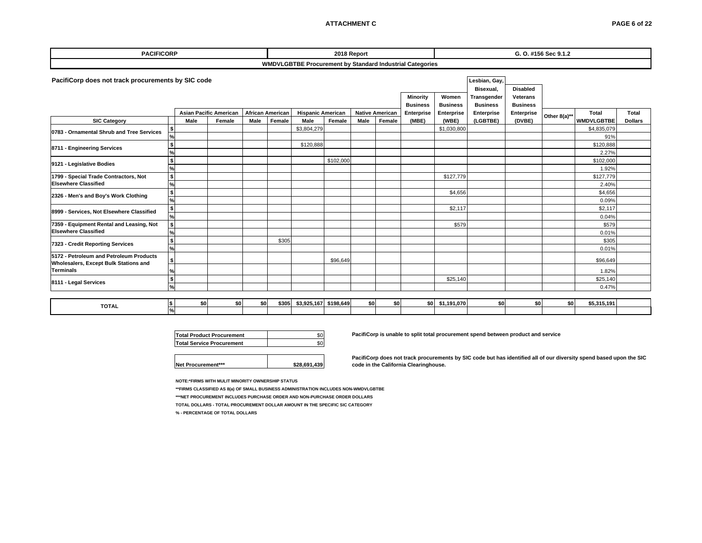#### **ATTACHMENT C**

| <b>PACIFICORP</b>                                                                                   |                   |      |                               |      |                                   |                                  | 2018 Report |      |                        |                                                                 |                          |                                |                             | G. O. #156 Sec 9.1.2 |                                   |                |
|-----------------------------------------------------------------------------------------------------|-------------------|------|-------------------------------|------|-----------------------------------|----------------------------------|-------------|------|------------------------|-----------------------------------------------------------------|--------------------------|--------------------------------|-----------------------------|----------------------|-----------------------------------|----------------|
|                                                                                                     |                   |      |                               |      |                                   |                                  |             |      |                        | <b>WMDVLGBTBE Procurement by Standard Industrial Categories</b> |                          |                                |                             |                      |                                   |                |
| PacifiCorp does not track procurements by SIC code<br>Lesbian, Gay,<br><b>Disabled</b><br>Bisexual, |                   |      |                               |      |                                   |                                  |             |      |                        |                                                                 |                          |                                |                             |                      |                                   |                |
|                                                                                                     |                   |      |                               |      |                                   |                                  |             |      |                        | <b>Minority</b><br><b>Business</b>                              | Women<br><b>Business</b> | Transgender<br><b>Business</b> | Veterans<br><b>Business</b> |                      |                                   |                |
|                                                                                                     |                   | Male | <b>Asian Pacific American</b> |      | <b>African American</b><br>Female | <b>Hispanic American</b><br>Male | Female      | Male | <b>Native American</b> | Enterprise                                                      | Enterprise               | Enterprise                     | Enterprise                  | Other 8(a)**         | <b>Total</b><br><b>WMDVLGBTBE</b> | Total          |
| <b>SIC Category</b>                                                                                 |                   |      | Female                        | Male |                                   | \$3,804,279                      |             |      | Female                 | (MBE)                                                           | (WBE)<br>\$1,030,800     | (LGBTBE)                       | (DVBE)                      |                      | \$4,835,079                       | <b>Dollars</b> |
| 0783 - Ornamental Shrub and Tree Services                                                           | %                 |      |                               |      |                                   |                                  |             |      |                        |                                                                 |                          |                                |                             |                      | 91%                               |                |
|                                                                                                     | \$                |      |                               |      |                                   | \$120,888                        |             |      |                        |                                                                 |                          |                                |                             |                      | \$120,888                         |                |
| 8711 - Engineering Services                                                                         |                   |      |                               |      |                                   |                                  |             |      |                        |                                                                 |                          |                                |                             |                      | 2.27%                             |                |
| 9121 - Legislative Bodies                                                                           | \$                |      |                               |      |                                   |                                  | \$102,000   |      |                        |                                                                 |                          |                                |                             |                      | \$102,000                         |                |
|                                                                                                     | $\frac{9}{6}$     |      |                               |      |                                   |                                  |             |      |                        |                                                                 |                          |                                |                             |                      | 1.92%                             |                |
| 1799 - Special Trade Contractors, Not                                                               | \$                |      |                               |      |                                   |                                  |             |      |                        |                                                                 | \$127,779                |                                |                             |                      | \$127,779                         |                |
| <b>Elsewhere Classified</b>                                                                         | %                 |      |                               |      |                                   |                                  |             |      |                        |                                                                 |                          |                                |                             |                      | 2.40%                             |                |
| 2326 - Men's and Boy's Work Clothing                                                                | $\mathbf{s}$<br>% |      |                               |      |                                   |                                  |             |      |                        |                                                                 | \$4,656                  |                                |                             |                      | \$4,656                           |                |
|                                                                                                     | $\frac{1}{2}$     |      |                               |      |                                   |                                  |             |      |                        |                                                                 | \$2,117                  |                                |                             |                      | 0.09%<br>\$2,117                  |                |
| 8999 - Services, Not Elsewhere Classified                                                           | $\frac{1}{2}$     |      |                               |      |                                   |                                  |             |      |                        |                                                                 |                          |                                |                             |                      | 0.04%                             |                |
| 7359 - Equipment Rental and Leasing, Not                                                            | $\frac{1}{2}$     |      |                               |      |                                   |                                  |             |      |                        |                                                                 | \$579                    |                                |                             |                      | \$579                             |                |
| <b>Elsewhere Classified</b>                                                                         | $\frac{9}{6}$     |      |                               |      |                                   |                                  |             |      |                        |                                                                 |                          |                                |                             |                      | 0.01%                             |                |
| 7323 - Credit Reporting Services                                                                    | \$                |      |                               |      | \$305                             |                                  |             |      |                        |                                                                 |                          |                                |                             |                      | \$305                             |                |
|                                                                                                     | %                 |      |                               |      |                                   |                                  |             |      |                        |                                                                 |                          |                                |                             |                      | 0.01%                             |                |
| 5172 - Petroleum and Petroleum Products<br>Wholesalers, Except Bulk Stations and                    |                   |      |                               |      |                                   |                                  | \$96,649    |      |                        |                                                                 |                          |                                |                             |                      | \$96,649                          |                |
| <b>Terminals</b>                                                                                    |                   |      |                               |      |                                   |                                  |             |      |                        |                                                                 |                          |                                |                             |                      | 1.82%                             |                |
| 8111 - Legal Services                                                                               | \$                |      |                               |      |                                   |                                  |             |      |                        |                                                                 | \$25,140                 |                                |                             |                      | \$25,140                          |                |
|                                                                                                     | $\frac{9}{6}$     |      |                               |      |                                   |                                  |             |      |                        |                                                                 |                          |                                |                             |                      | 0.47%                             |                |

| <b>TOTAL</b> |        | \$0 | 80 | SO I | \$305 | \$3,925,167 \$198,649 | ^^ | <b>COL</b> | \$ni | \$1,191,070 | \$OI | 50 I | \$5,315,191 |  |
|--------------|--------|-----|----|------|-------|-----------------------|----|------------|------|-------------|------|------|-------------|--|
|              | $\sim$ |     |    |      |       |                       |    |            |      |             |      |      |             |  |

| <b>Total Product Procurement</b> |  |
|----------------------------------|--|
| Total Service Procurement        |  |
|                                  |  |

**Net Procurement\*\*\* \$28,691,439**

**PacifiCorp is unable to split total procurement spend between product and service**

**PacifiCorp does not track procurements by SIC code but has identified all of our diversity spend based upon the SIC code in the California Clearinghouse.**

**NOTE:\*FIRMS WITH MULIT MINORITY OWNERSHIP STATUS**

**\*\*FIRMS CLASSIFIED AS 8(a) OF SMALL BUSINESS ADMINISTRATION INCLUDES NON-WMDVLGBTBE**

**\*\*\*NET PROCUREMENT INCLUDES PURCHASE ORDER AND NON-PURCHASE ORDER DOLLARS**

**TOTAL DOLLARS - TOTAL PROCUREMENT DOLLAR AMOUNT IN THE SPECIFIC SIC CATEGORY** 

**% - PERCENTAGE OF TOTAL DOLLARS**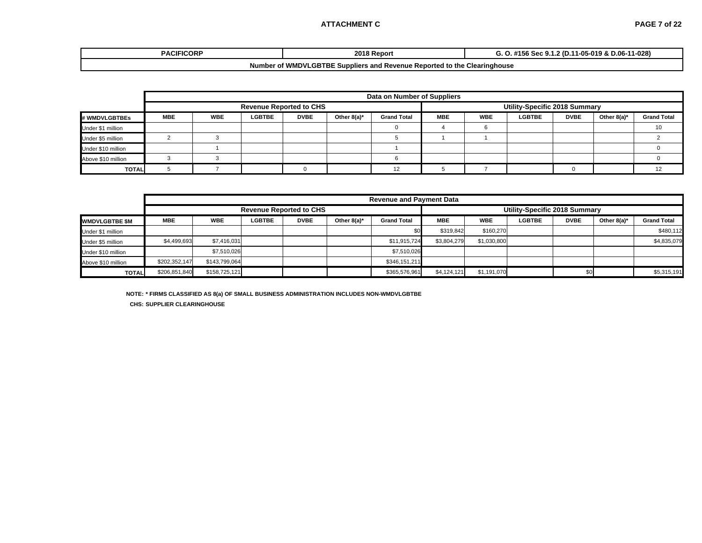#### **ATTACHMENT C**

| <b>PACIFICORF</b>                                                                  | 00400<br>18 Report | 11-028)<br>11-05-019 & D.06-<br>2 (D.1<br>20 م<br>156<br><b>UGL 3.1.4</b><br>. |  |  |  |  |  |  |  |
|------------------------------------------------------------------------------------|--------------------|--------------------------------------------------------------------------------|--|--|--|--|--|--|--|
| If WMDVLGBTBE Suppliers and Revenue Reported to the 0<br>. Clearinghouse<br>Number |                    |                                                                                |  |  |  |  |  |  |  |

|                    |            |            |               |                                |                | Data on Number of Suppliers |            |            |                               |             |                |                    |
|--------------------|------------|------------|---------------|--------------------------------|----------------|-----------------------------|------------|------------|-------------------------------|-------------|----------------|--------------------|
|                    |            |            |               | <b>Revenue Reported to CHS</b> |                |                             |            |            | Utility-Specific 2018 Summary |             |                |                    |
| # WMDVLGBTBEs      | <b>MBE</b> | <b>WBE</b> | <b>LGBTBE</b> | <b>DVBE</b>                    | Other $8(a)^*$ | <b>Grand Total</b>          | <b>MBE</b> | <b>WBE</b> | <b>LGBTBE</b>                 | <b>DVBE</b> | Other $8(a)^*$ | <b>Grand Total</b> |
| Under \$1 million  |            |            |               |                                |                |                             |            |            |                               |             |                | 10                 |
| Under \$5 million  |            |            |               |                                |                |                             |            |            |                               |             |                |                    |
| Under \$10 million |            |            |               |                                |                |                             |            |            |                               |             |                |                    |
| Above \$10 million |            |            |               |                                |                |                             |            |            |                               |             |                |                    |
| <b>TOTAL</b>       |            |            |               |                                |                | 12<br>14                    |            |            |                               |             |                | 12                 |

|                       |                                |               |               |             |                | <b>Revenue and Payment Data</b> |                               |             |               |             |             |                    |  |
|-----------------------|--------------------------------|---------------|---------------|-------------|----------------|---------------------------------|-------------------------------|-------------|---------------|-------------|-------------|--------------------|--|
|                       | <b>Revenue Reported to CHS</b> |               |               |             |                |                                 | Utility-Specific 2018 Summary |             |               |             |             |                    |  |
| <b>WMDVLGBTBE \$M</b> | <b>MBE</b>                     | <b>WBE</b>    | <b>LGBTBE</b> | <b>DVBE</b> | Other $8(a)^*$ | <b>Grand Total</b>              | <b>MBE</b>                    | <b>WBE</b>  | <b>LGBTBE</b> | <b>DVBE</b> | Other 8(a)* | <b>Grand Total</b> |  |
| Under \$1 million     |                                |               |               |             |                | \$0                             | \$319.842                     | \$160.270   |               |             |             | \$480.112          |  |
| Under \$5 million     | \$4,499,693                    | \$7,416,031   |               |             |                | \$11,915,724                    | \$3,804,279                   | \$1,030,800 |               |             |             | \$4,835,079        |  |
| Under \$10 million    |                                | \$7,510,026   |               |             |                | \$7,510,026                     |                               |             |               |             |             |                    |  |
| Above \$10 million    | \$202,352,147                  | \$143,799,064 |               |             |                | \$346,151,211                   |                               |             |               |             |             |                    |  |
| <b>TOTAL</b>          | \$206,851,840                  | \$158,725,121 |               |             |                | \$365,576,961                   | \$4,124,121                   | \$1,191,070 |               |             |             | \$5,315,191        |  |

**NOTE: \* FIRMS CLASSIFIED AS 8(a) OF SMALL BUSINESS ADMINISTRATION INCLUDES NON-WMDVLGBTBE**

**CHS: SUPPLIER CLEARINGHOUSE**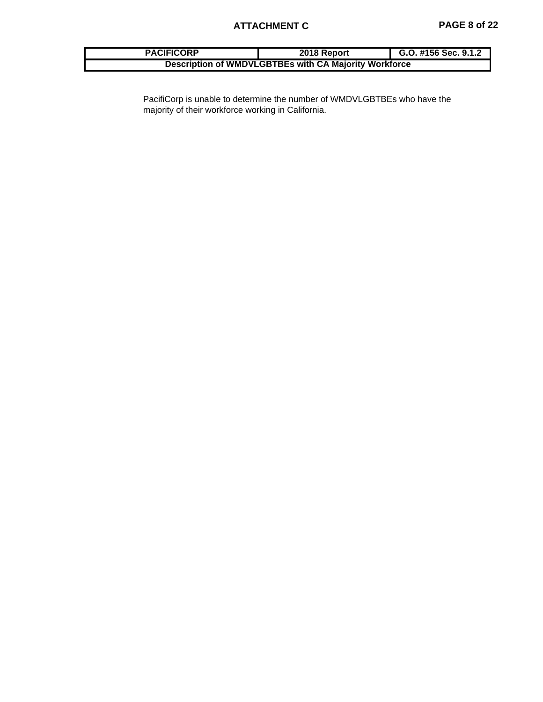| <b>PACIFICORP</b> | 2018 Report                                           | G.O. #156 Sec. 9.1.2 |
|-------------------|-------------------------------------------------------|----------------------|
|                   | Description of WMDVLGBTBEs with CA Majority Workforce |                      |

PacifiCorp is unable to determine the number of WMDVLGBTBEs who have the majority of their workforce working in California.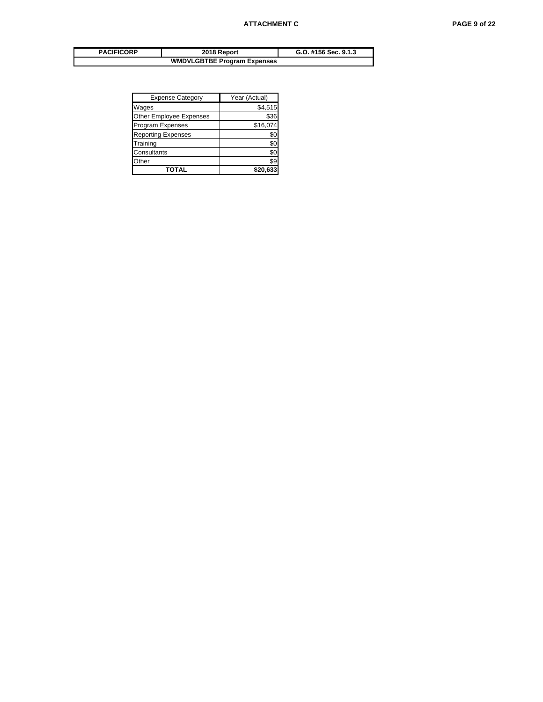| <b>PACIFICORP</b>                  | 2018 Report | G.O. #156 Sec. 9.1.3 |  |
|------------------------------------|-------------|----------------------|--|
| <b>WMDVLGBTBE Program Expenses</b> |             |                      |  |

| <b>Expense Category</b>   | Year (Actual) |
|---------------------------|---------------|
| Wages                     | \$4,515       |
| Other Employee Expenses   | \$36          |
| <b>Program Expenses</b>   | \$16,074      |
| <b>Reporting Expenses</b> | \$0           |
| Training                  | \$0           |
| Consultants               | \$0           |
| Other                     | \$9           |
| TOTAL                     | \$20.633      |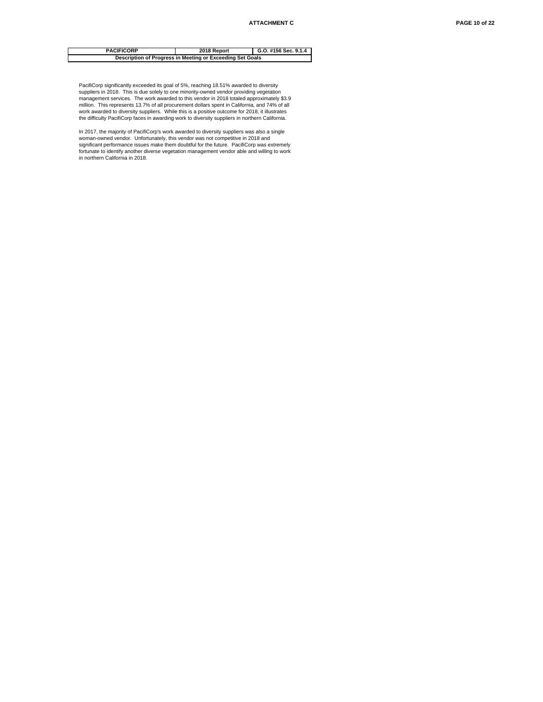#### **2018 Report G.O. #156 Sec. 9.1.4 Description of Progress in Meeting or Exceeding Set Goals PACIFICORP**

PacifiCorp significantly exceeded its goal of 5%, reaching 18.51% awarded to diversity<br>suppliers in 2018. This is due solely to one minority-owned vendor providing vegetation<br>management services. The work awarded to this million. This represents 13.7% of all procurement dollars spent in California, and 74% of all work awarded to diversity suppliers. While this is a positive outcome for 2018, it illustrates the difficulty PacifiCorp faces in awarding work to diversity suppliers in northern California.

In 2017, the majority of PacifiCorp's work awarded to diversity suppliers was also a single woman-owned vendor. Unfortunately, this vendor was not competitive in 2018 and significant performance issues make them doubtful for the future. PacifiCorp was extremely fortunate to identify another diverse vegetation management vendor able and willing to work in northern California in 2018.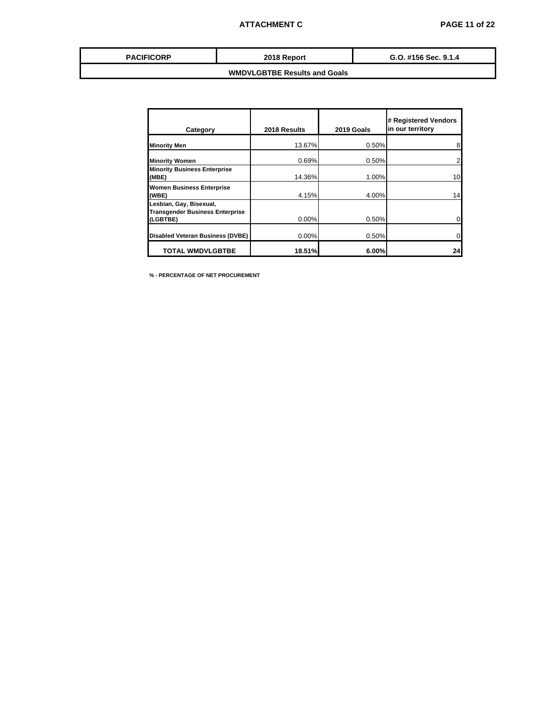| <b>PACIFICORP</b> | 2018 Report | G.O. #156 Sec. 9.1.4 |
|-------------------|-------------|----------------------|
|                   |             |                      |

| Category                                                                      | 2018 Results | 2019 Goals | # Registered Vendors<br>in our territory |
|-------------------------------------------------------------------------------|--------------|------------|------------------------------------------|
| <b>Minority Men</b>                                                           | 13.67%       | 0.50%      | 8                                        |
| <b>Minority Women</b>                                                         | 0.69%        | 0.50%      | 2                                        |
| <b>Minority Business Enterprise</b><br>(MBE)                                  | 14.36%       | 1.00%      | 10                                       |
| <b>Women Business Enterprise</b><br>(WBE)                                     | 4.15%        | 4.00%      | 14                                       |
| Lesbian, Gay, Bisexual,<br><b>Transgender Business Enterprise</b><br>(LGBTBE) | $0.00\%$     | 0.50%      |                                          |
| Disabled Veteran Business (DVBE)                                              | $0.00\%$     | 0.50%      |                                          |
| <b>TOTAL WMDVLGBTBE</b>                                                       | 18.51%       | 6.00%      | 24                                       |

**% - PERCENTAGE OF NET PROCUREMENT**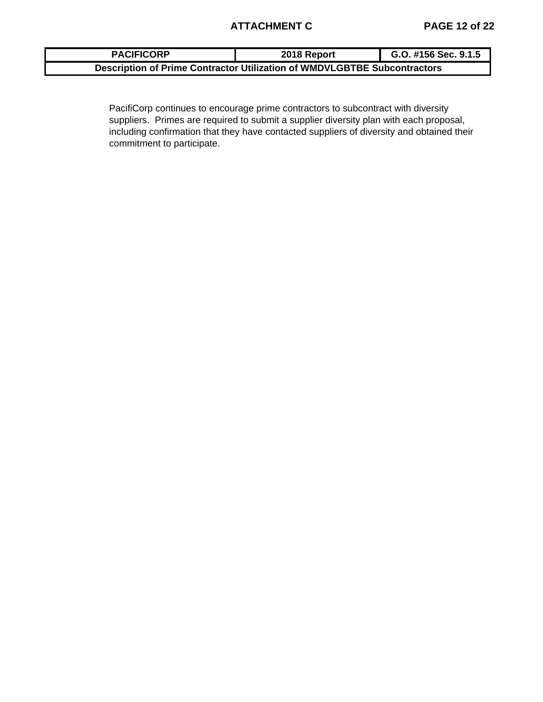| <b>PACIFICORP</b> | 2018 Report                                                              | G.O. #156 Sec. 9.1.5 |
|-------------------|--------------------------------------------------------------------------|----------------------|
|                   | Description of Prime Contractor Utilization of WMDVLGBTBE Subcontractors |                      |

PacifiCorp continues to encourage prime contractors to subcontract with diversity suppliers. Primes are required to submit a supplier diversity plan with each proposal, including confirmation that they have contacted suppliers of diversity and obtained their commitment to participate.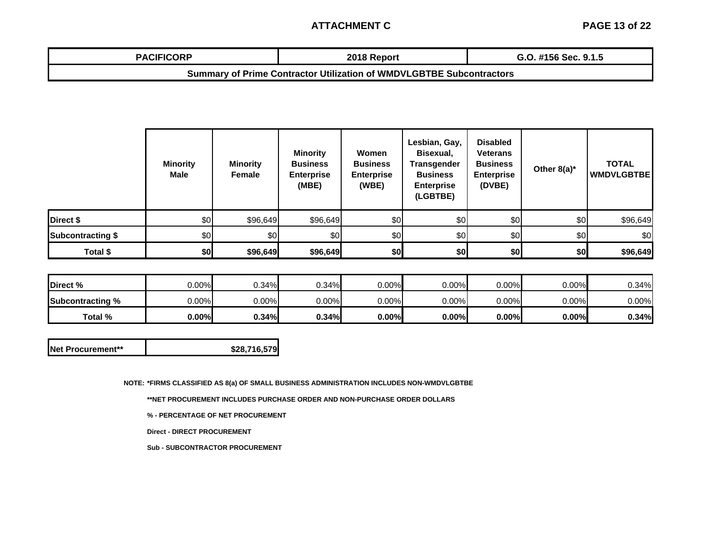## **ATTACHMENT C**

| <b>PACIFICORP</b> | 2018 Report | $\mathbf{u}$ $\mathbf{v}$<br>8 4 F<br>ה ה<br>ີ' #156 Sec. 9.1.ວ<br>u.u |
|-------------------|-------------|------------------------------------------------------------------------|
|                   |             |                                                                        |

**Summary of Prime Contractor Utilization of WMDVLGBTBE Subcontractors**

|                          | <b>Minority</b><br><b>Male</b> | <b>Minority</b><br>Female | <b>Minority</b><br><b>Business</b><br><b>Enterprise</b><br>(MBE) | Women<br><b>Business</b><br><b>Enterprise</b><br>(WBE) | Lesbian, Gay,<br>Bisexual,<br><b>Transgender</b><br><b>Business</b><br><b>Enterprise</b><br>(LGBTBE) | <b>Disabled</b><br><b>Veterans</b><br><b>Business</b><br><b>Enterprise</b><br>(DVBE) | Other $8(a)^*$ | <b>TOTAL</b><br><b>WMDVLGBTBE</b> |
|--------------------------|--------------------------------|---------------------------|------------------------------------------------------------------|--------------------------------------------------------|------------------------------------------------------------------------------------------------------|--------------------------------------------------------------------------------------|----------------|-----------------------------------|
| Direct \$                | \$0                            | \$96,649                  | \$96,649                                                         | \$0                                                    | \$0                                                                                                  | \$0                                                                                  | \$0            | \$96,649                          |
| <b>Subcontracting \$</b> | \$0                            | \$0                       | \$0                                                              | \$0                                                    | \$0                                                                                                  | \$0                                                                                  | \$0            | \$0                               |
| Total \$                 | \$0                            | \$96,649                  | \$96,649                                                         | \$0                                                    | \$0                                                                                                  | \$0                                                                                  | \$0            | \$96,649                          |

| Direct %                | 0.00%    | 0.34% | 0.34%    | $0.00\%$ | 0.00% | $0.00\%$ | $0.00\%$ | $0.34\%$ |
|-------------------------|----------|-------|----------|----------|-------|----------|----------|----------|
| <b>Subcontracting %</b> | $0.00\%$ | 0.00% | $0.00\%$ | $0.00\%$ | 0.00% | $0.00\%$ | $0.00\%$ | $0.00\%$ |
| Total %                 | $0.00\%$ | 0.34% | 0.34%    | 0.00%    | 0.00% | $0.00\%$ | $0.00\%$ | $0.34\%$ |

| <b>INet Procurement**</b> | \$28,716,579 |
|---------------------------|--------------|
|---------------------------|--------------|

**NOTE: \*FIRMS CLASSIFIED AS 8(a) OF SMALL BUSINESS ADMINISTRATION INCLUDES NON-WMDVLGBTBE**

**\*\*NET PROCUREMENT INCLUDES PURCHASE ORDER AND NON-PURCHASE ORDER DOLLARS**

**% - PERCENTAGE OF NET PROCUREMENT**

**Direct - DIRECT PROCUREMENT**

**Sub - SUBCONTRACTOR PROCUREMENT**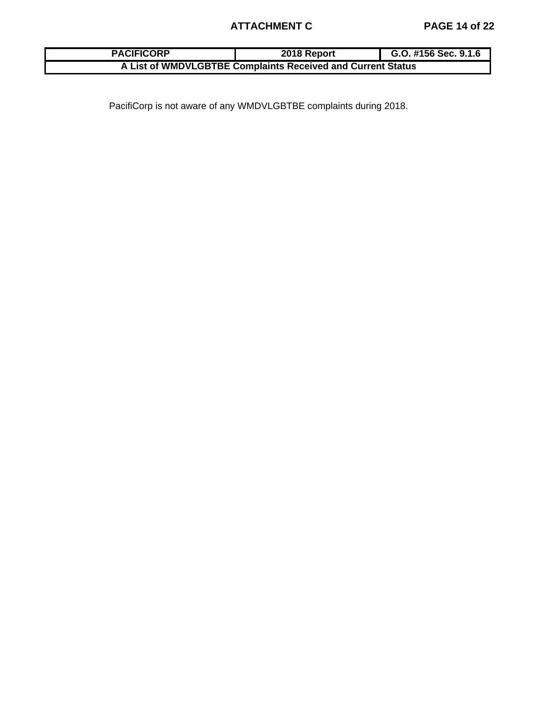# **ATTACHMENT C PAGE 14 of 22**

| <b>PACIFICORP</b> | 2018 Report                                                 | G.O. #156 Sec. 9.1.6 |
|-------------------|-------------------------------------------------------------|----------------------|
|                   | A List of WMDVLGBTBE Complaints Received and Current Status |                      |

PacifiCorp is not aware of any WMDVLGBTBE complaints during 2018.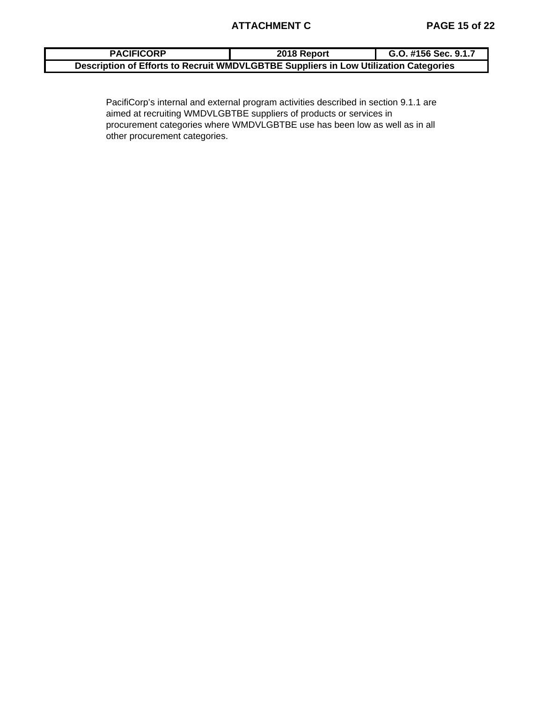| <b>PACIFICORP</b>                                                                    | 2018 Report | G.O. #156 Sec. 9.1.7 |
|--------------------------------------------------------------------------------------|-------------|----------------------|
| Description of Efforts to Recruit WMDVLGBTBE Suppliers in Low Utilization Categories |             |                      |

PacifiCorp's internal and external program activities described in section 9.1.1 are aimed at recruiting WMDVLGBTBE suppliers of products or services in procurement categories where WMDVLGBTBE use has been low as well as in all other procurement categories.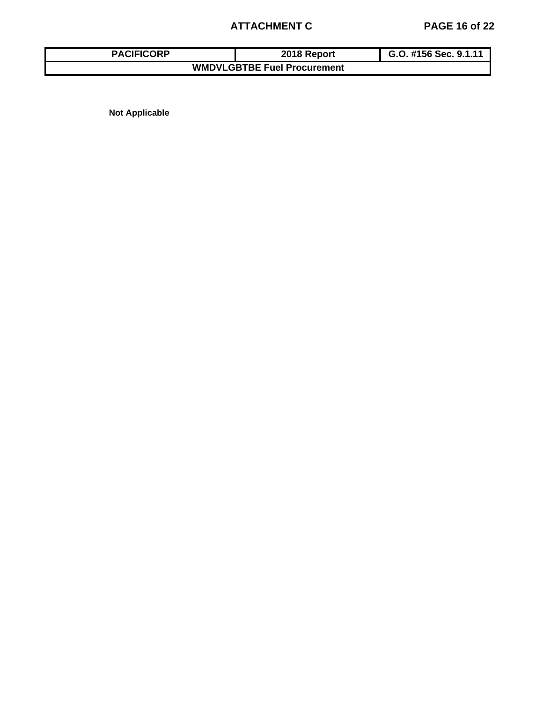# **ATTACHMENT C PAGE 16 of 22**

| <b>PACIFICORP</b>                  | 2018 Report | G.O. #156 Sec. 9.1.11 |  |  |  |  |  |  |  |
|------------------------------------|-------------|-----------------------|--|--|--|--|--|--|--|
| <b>WMDVLGBTBE Fuel Procurement</b> |             |                       |  |  |  |  |  |  |  |

**Not Applicable**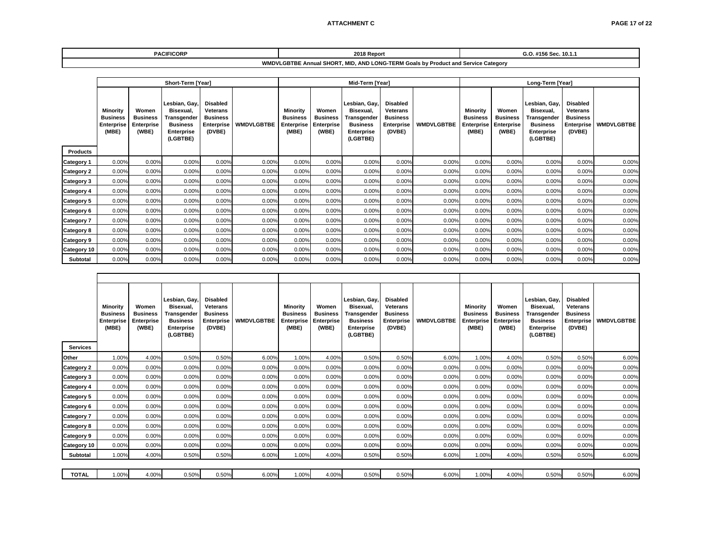| <b>PACIFICORP</b>                                                                 | 2018 Report | #156 Sec. 10.1.1 |  |  |  |  |  |  |
|-----------------------------------------------------------------------------------|-------------|------------------|--|--|--|--|--|--|
| WMDVLGBTBE Annual SHORT, MID, AND LONG-TERM Goals by Product and Service Category |             |                  |  |  |  |  |  |  |

|                               | Short-Term [Year]                                         |                                                 |                                                                                               |                                                                               |                   |                                                           | Mid-Term [Year]                                 |                                                                                        |                                                                               |                   |                                                           | Long-Term [Year]                                |                                                                                               |                                                                               |                   |  |
|-------------------------------|-----------------------------------------------------------|-------------------------------------------------|-----------------------------------------------------------------------------------------------|-------------------------------------------------------------------------------|-------------------|-----------------------------------------------------------|-------------------------------------------------|----------------------------------------------------------------------------------------|-------------------------------------------------------------------------------|-------------------|-----------------------------------------------------------|-------------------------------------------------|-----------------------------------------------------------------------------------------------|-------------------------------------------------------------------------------|-------------------|--|
|                               | Minority<br><b>Business</b><br><b>Enterprise</b><br>(MBE) | Women<br><b>Business</b><br>Enterprise<br>(WBE) | Lesbian, Gay,<br>Bisexual.<br>Transgender<br><b>Business</b><br><b>Enterprise</b><br>(LGBTBE) | <b>Disabled</b><br><b>Veterans</b><br><b>Business</b><br>Enterprise<br>(DVBE) | <b>WMDVLGBTBE</b> | Minority<br><b>Business</b><br><b>Enterprise</b><br>(MBE) | Women<br><b>Business</b><br>Enterprise<br>(WBE) | Lesbian, Gay.<br>Bisexual,<br>Transgender<br><b>Business</b><br>Enterprise<br>(LGBTBE) | <b>Disabled</b><br><b>Veterans</b><br><b>Business</b><br>Enterprise<br>(DVBE) | <b>WMDVLGBTBE</b> | Minority<br><b>Business</b><br><b>Enterprise</b><br>(MBE) | Women<br><b>Business</b><br>Enterprise<br>(WBE) | Lesbian, Gay,<br>Bisexual.<br>Transgender<br><b>Business</b><br><b>Enterprise</b><br>(LGBTBE) | <b>Disabled</b><br><b>Veterans</b><br><b>Business</b><br>Enterprise<br>(DVBE) | <b>WMDVLGBTBE</b> |  |
| <b>Products</b><br>Category 1 | 0.00%                                                     | 0.00%                                           | 0.00%                                                                                         | 0.00%                                                                         | 0.00%             | 0.00%                                                     | 0.00%                                           | 0.00%                                                                                  | 0.00%                                                                         | 0.00%             | 0.00%                                                     | 0.00%                                           | 0.00%                                                                                         | 0.00%                                                                         | 0.00%             |  |
| <b>Category 2</b>             | 0.00%                                                     | 0.00%                                           | 0.00%                                                                                         | 0.00%                                                                         | 0.00%             | 0.00%                                                     | 0.00%                                           | 0.00%                                                                                  | 0.00%                                                                         | 0.00%             | 0.00%                                                     | 0.00%                                           | 0.00%                                                                                         | 0.00%                                                                         | 0.00%             |  |
| <b>Category 3</b>             | 0.00%                                                     | 0.00%                                           | 0.00%                                                                                         | 0.00%                                                                         | 0.00%             | 0.00%                                                     | 0.00%                                           | 0.00%                                                                                  | 0.00%                                                                         | 0.00%             | 0.00%                                                     | 0.00%                                           | 0.00%                                                                                         | 0.00%                                                                         | 0.00%             |  |
| <b>Category 4</b>             | 0.00%                                                     | 0.00%                                           | 0.00%                                                                                         | 0.00%                                                                         | 0.00%             | 0.00%                                                     | 0.00%                                           | 0.00%                                                                                  | 0.00%                                                                         | 0.00%             | 0.00%                                                     | 0.00%                                           | 0.00%                                                                                         | 0.00%                                                                         | 0.00%             |  |
| <b>Category 5</b>             | 0.00%                                                     | 0.00%                                           | 0.00%                                                                                         | 0.00%                                                                         | 0.00%             | 0.00%                                                     | 0.00%                                           | 0.00%                                                                                  | 0.00%                                                                         | 0.00%             | 0.00%                                                     | 0.00%                                           | 0.00%                                                                                         | 0.00%                                                                         | 0.00%             |  |
| <b>Category 6</b>             | 0.00%                                                     | 0.00%                                           | 0.00%                                                                                         | 0.00%                                                                         | 0.00%             | 0.00%                                                     | 0.00%                                           | 0.00%                                                                                  | 0.00%                                                                         | 0.00%             | 0.00%                                                     | 0.00%                                           | 0.00%                                                                                         | 0.00%                                                                         | 0.00%             |  |
| <b>Category 7</b>             | 0.00%                                                     | 0.00%                                           | 0.00%                                                                                         | 0.00%                                                                         | 0.00%             | 0.00%                                                     | 0.00%                                           | 0.00%                                                                                  | 0.00%                                                                         | 0.00%             | 0.00%                                                     | 0.00%                                           | 0.00%                                                                                         | 0.00%                                                                         | 0.00%             |  |
| <b>Category 8</b>             | 0.00%                                                     | 0.00%                                           | 0.00%                                                                                         | 0.00%                                                                         | 0.00%             | 0.00%                                                     | 0.00%                                           | 0.00%                                                                                  | 0.00%                                                                         | 0.00%             | 0.00%                                                     | 0.00%                                           | 0.00%                                                                                         | 0.00%                                                                         | 0.00%             |  |
| <b>Category 9</b>             | 0.00%                                                     | 0.00%                                           | 0.00%                                                                                         | 0.00%                                                                         | 0.00%             | 0.00%                                                     | 0.00%                                           | 0.00%                                                                                  | 0.00%                                                                         | 0.00%             | 0.00%                                                     | 0.00%                                           | 0.00%                                                                                         | 0.00%                                                                         | 0.00%             |  |
| Category 10                   | 0.00%                                                     | 0.00%                                           | 0.00%                                                                                         | 0.00%                                                                         | 0.00%             | 0.00%                                                     | 0.00%                                           | 0.00%                                                                                  | 0.00%                                                                         | 0.00%             | 0.00%                                                     | 0.00%                                           | 0.00%                                                                                         | 0.00%                                                                         | 0.00%             |  |
| Subtotal                      | 0.00%                                                     | 0.00%                                           | 0.00%                                                                                         | 0.00%                                                                         | 0.00%             | 0.00%                                                     | 0.00%                                           | 0.00%                                                                                  | 0.00%                                                                         | 0.00%             | 0.00%                                                     | 0.00%                                           | 0.00%                                                                                         | 0.00%                                                                         | 0.00%             |  |

| <b>Services</b>   | Minority<br><b>Business</b><br><b>Enterprise</b><br>(MBE) | Women<br><b>Business</b><br>Enterprise<br>(WBE) | Lesbian, Gay,<br>Bisexual,<br>Transgender<br><b>Business</b><br><b>Enterprise</b><br>(LGBTBE) | <b>Disabled</b><br>Veterans<br><b>Business</b><br>Enterprise<br>(DVBE) | <b>WMDVLGBTBE</b> | <b>Minority</b><br><b>Business</b><br>Enterprise<br>(MBE) | Women<br><b>Business</b><br>Enterprise<br>(WBE) | Lesbian, Gay.<br>Bisexual.<br>Transgender<br><b>Business</b><br><b>Enterprise</b><br>(LGBTBE) | <b>Disabled</b><br><b>Veterans</b><br><b>Business</b><br>Enterprise<br>(DVBE) | <b>WMDVLGBTBE</b> | Minority<br><b>Business</b><br><b>Enterprise</b><br>(MBE) | Women<br><b>Business</b><br><b>Enterprise</b><br>(WBE) | Lesbian, Gay,<br>Bisexual.<br>Transgender<br><b>Business</b><br><b>Enterprise</b><br>(LGBTBE) | <b>Disabled</b><br><b>Veterans</b><br><b>Business</b><br>Enterprise<br>(DVBE) | <b>WMDVLGBTBE</b> |  |
|-------------------|-----------------------------------------------------------|-------------------------------------------------|-----------------------------------------------------------------------------------------------|------------------------------------------------------------------------|-------------------|-----------------------------------------------------------|-------------------------------------------------|-----------------------------------------------------------------------------------------------|-------------------------------------------------------------------------------|-------------------|-----------------------------------------------------------|--------------------------------------------------------|-----------------------------------------------------------------------------------------------|-------------------------------------------------------------------------------|-------------------|--|
| Other             | 1.00%                                                     | 4.00%                                           | 0.50%                                                                                         | 0.50%                                                                  | 6.00%             | 1.00%                                                     | 4.00%                                           | 0.50%                                                                                         | 0.50%                                                                         | 6.00%             | 1.00%                                                     | 4.00%                                                  | 0.50%                                                                                         | 0.50%                                                                         | 6.00%             |  |
| Category 2        | 0.00%                                                     | 0.00%                                           | 0.00%                                                                                         | 0.00%                                                                  | 0.00%             | 0.00%                                                     | 0.00%                                           | 0.00%                                                                                         | 0.00%                                                                         | 0.00%             | 0.00%                                                     | 0.00%                                                  | 0.00%                                                                                         | 0.00%                                                                         | 0.00%             |  |
| Category 3        | 0.00%                                                     | 0.00%                                           | 0.00%                                                                                         | 0.00%                                                                  | 0.00%             | 0.00%                                                     | 0.00%                                           | 0.00%                                                                                         | 0.00%                                                                         | 0.00%             | 0.00%                                                     | 0.00%                                                  | 0.00%                                                                                         | 0.00%                                                                         | 0.00%             |  |
| <b>Category 4</b> | 0.00%                                                     | 0.00%                                           | 0.00%                                                                                         | 0.00%                                                                  | 0.00%             | 0.00%                                                     | 0.00%                                           | 0.00%                                                                                         | 0.00%                                                                         | 0.00%             | 0.00%                                                     | 0.00%                                                  | 0.00%                                                                                         | 0.00%                                                                         | 0.00%             |  |
| <b>Category 5</b> | 0.00%                                                     | 0.00%                                           | 0.00%                                                                                         | 0.00%                                                                  | 0.00%             | 0.00%                                                     | 0.00%                                           | 0.00%                                                                                         | 0.00%                                                                         | 0.00%             | 0.00%                                                     | 0.00%                                                  | 0.00%                                                                                         | 0.00%                                                                         | 0.00%             |  |
| Category 6        | 0.00%                                                     | 0.00%                                           | 0.00%                                                                                         | 0.00%                                                                  | 0.00%             | 0.00%                                                     | 0.00%                                           | 0.00%                                                                                         | 0.00%                                                                         | 0.00%             | 0.00%                                                     | 0.00%                                                  | 0.00%                                                                                         | 0.00%                                                                         | 0.00%             |  |
| Category 7        | 0.00%                                                     | 0.00%                                           | 0.00%                                                                                         | 0.00%                                                                  | 0.00%             | 0.00%                                                     | 0.00%                                           | 0.00%                                                                                         | 0.00%                                                                         | 0.00%             | 0.00%                                                     | 0.00%                                                  | 0.00%                                                                                         | 0.00%                                                                         | 0.00%             |  |
| Category 8        | 0.00%                                                     | 0.00%                                           | 0.00%                                                                                         | 0.00%                                                                  | 0.00%             | 0.00%                                                     | 0.00%                                           | 0.00%                                                                                         | 0.00%                                                                         | 0.00%             | 0.00%                                                     | 0.00%                                                  | 0.00%                                                                                         | 0.00%                                                                         | 0.00%             |  |
| Category 9        | 0.00%                                                     | 0.00%                                           | 0.00%                                                                                         | 0.00%                                                                  | 0.00%             | 0.00%                                                     | 0.00%                                           | 0.00%                                                                                         | 0.00%                                                                         | 0.00%             | 0.00%                                                     | 0.00%                                                  | 0.00%                                                                                         | 0.00%                                                                         | 0.00%             |  |
| Category 10       | 0.00%                                                     | 0.00%                                           | 0.00%                                                                                         | 0.00%                                                                  | 0.00%             | 0.00%                                                     | 0.00%                                           | 0.00%                                                                                         | 0.00%                                                                         | 0.00%             | 0.00%                                                     | 0.00%                                                  | 0.00%                                                                                         | 0.00%                                                                         | 0.00%             |  |
| Subtotal          | 1.00%                                                     | 4.00%                                           | 0.50%                                                                                         | 0.50%                                                                  | 6.00%             | 1.00%                                                     | 4.00%                                           | 0.50%                                                                                         | 0.50%                                                                         | 6.00%             | 1.00%                                                     | 4.00%                                                  | 0.50%                                                                                         | 0.50%                                                                         | 6.00%             |  |
|                   |                                                           |                                                 |                                                                                               |                                                                        |                   |                                                           |                                                 |                                                                                               |                                                                               |                   |                                                           |                                                        |                                                                                               |                                                                               |                   |  |
| <b>TOTAL</b>      | .00%                                                      | 4.00%                                           | 0.50%                                                                                         | 0.50%                                                                  | 6.00%             | 1.00%                                                     | 4.00%                                           | 0.50%                                                                                         | 0.50%                                                                         | 6.00%             | 1.00%                                                     | 4.00%                                                  | 0.50%                                                                                         | 0.50%                                                                         | 6.00%             |  |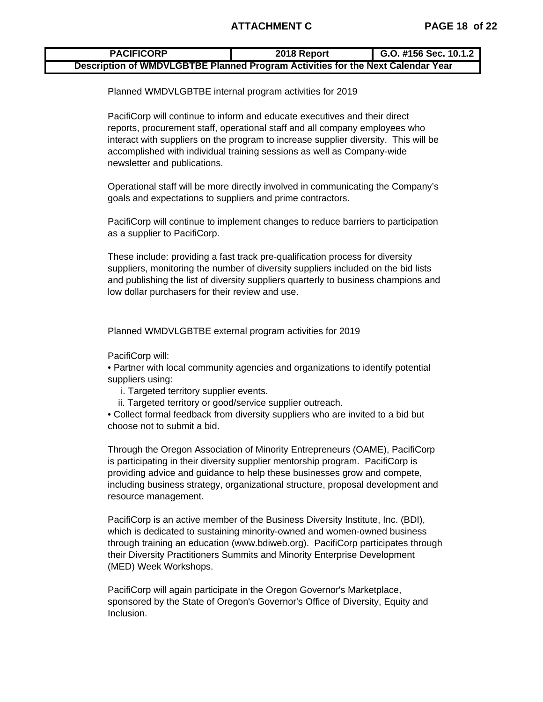## **ATTACHMENT C PAGE 18 of 22**

#### **2018 Report G.O. #156 Sec. 10.1.2 PACIFICORP Description of WMDVLGBTBE Planned Program Activities for the Next Calendar Year**

Planned WMDVLGBTBE internal program activities for 2019

PacifiCorp will continue to inform and educate executives and their direct reports, procurement staff, operational staff and all company employees who interact with suppliers on the program to increase supplier diversity. This will be accomplished with individual training sessions as well as Company-wide newsletter and publications.

Operational staff will be more directly involved in communicating the Company's goals and expectations to suppliers and prime contractors.

PacifiCorp will continue to implement changes to reduce barriers to participation as a supplier to PacifiCorp.

These include: providing a fast track pre-qualification process for diversity suppliers, monitoring the number of diversity suppliers included on the bid lists and publishing the list of diversity suppliers quarterly to business champions and low dollar purchasers for their review and use.

Planned WMDVLGBTBE external program activities for 2019

PacifiCorp will:

• Partner with local community agencies and organizations to identify potential suppliers using:

- i. Targeted territory supplier events.
- ii. Targeted territory or good/service supplier outreach.

• Collect formal feedback from diversity suppliers who are invited to a bid but choose not to submit a bid.

Through the Oregon Association of Minority Entrepreneurs (OAME), PacifiCorp is participating in their diversity supplier mentorship program. PacifiCorp is providing advice and guidance to help these businesses grow and compete, including business strategy, organizational structure, proposal development and resource management.

PacifiCorp is an active member of the Business Diversity Institute, Inc. (BDI), which is dedicated to sustaining minority-owned and women-owned business through training an education (www.bdiweb.org). PacifiCorp participates through their Diversity Practitioners Summits and Minority Enterprise Development (MED) Week Workshops.

PacifiCorp will again participate in the Oregon Governor's Marketplace, sponsored by the State of Oregon's Governor's Office of Diversity, Equity and Inclusion.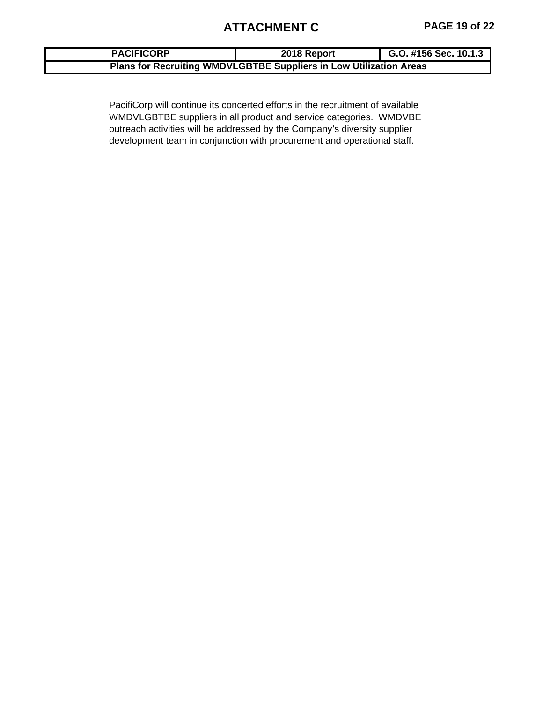# **ATTACHMENT C PAGE 19 of 22**

| <b>PACIFICORP</b> | 2018 Report                                                        | G.O. #156 Sec. 10.1.3 |  |  |  |  |  |  |  |  |
|-------------------|--------------------------------------------------------------------|-----------------------|--|--|--|--|--|--|--|--|
|                   | Plans for Recruiting WMDVLGBTBE Suppliers in Low Utilization Areas |                       |  |  |  |  |  |  |  |  |

PacifiCorp will continue its concerted efforts in the recruitment of available WMDVLGBTBE suppliers in all product and service categories. WMDVBE outreach activities will be addressed by the Company's diversity supplier development team in conjunction with procurement and operational staff.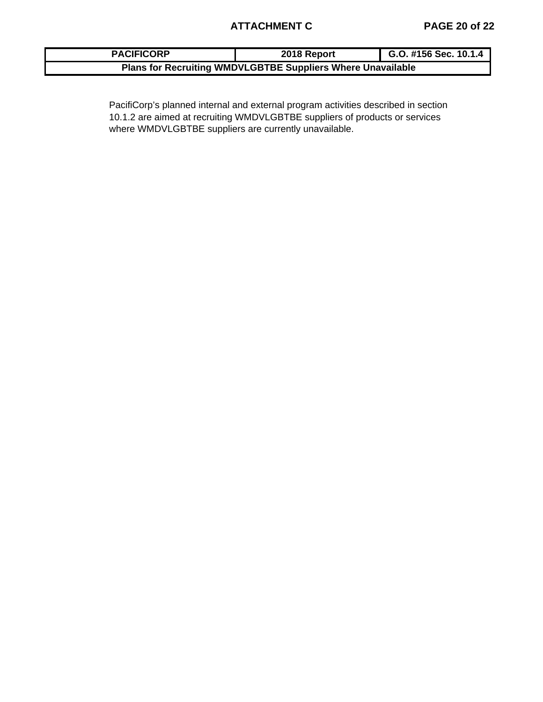| <b>PACIFICORP</b>                                                  | 2018 Report | G.O. #156 Sec. 10.1.4 |  |  |  |  |  |  |
|--------------------------------------------------------------------|-------------|-----------------------|--|--|--|--|--|--|
| <b>Plans for Recruiting WMDVLGBTBE Suppliers Where Unavailable</b> |             |                       |  |  |  |  |  |  |

PacifiCorp's planned internal and external program activities described in section 10.1.2 are aimed at recruiting WMDVLGBTBE suppliers of products or services where WMDVLGBTBE suppliers are currently unavailable.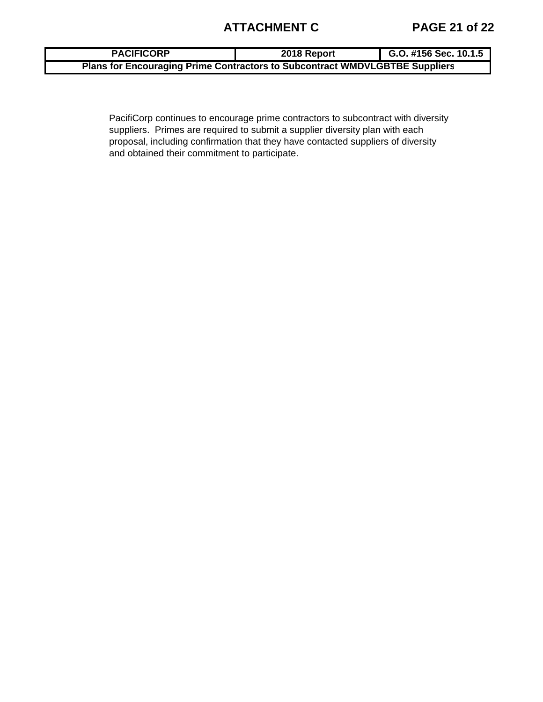# **ATTACHMENT C PAGE 21 of 22**

| <b>PACIFICORP</b>                                                                  | 2018 Report | G.O. #156 Sec. $10.1.5$ |
|------------------------------------------------------------------------------------|-------------|-------------------------|
| <b>Plans for Encouraging Prime Contractors to Subcontract WMDVLGBTBE Suppliers</b> |             |                         |

PacifiCorp continues to encourage prime contractors to subcontract with diversity suppliers. Primes are required to submit a supplier diversity plan with each proposal, including confirmation that they have contacted suppliers of diversity and obtained their commitment to participate.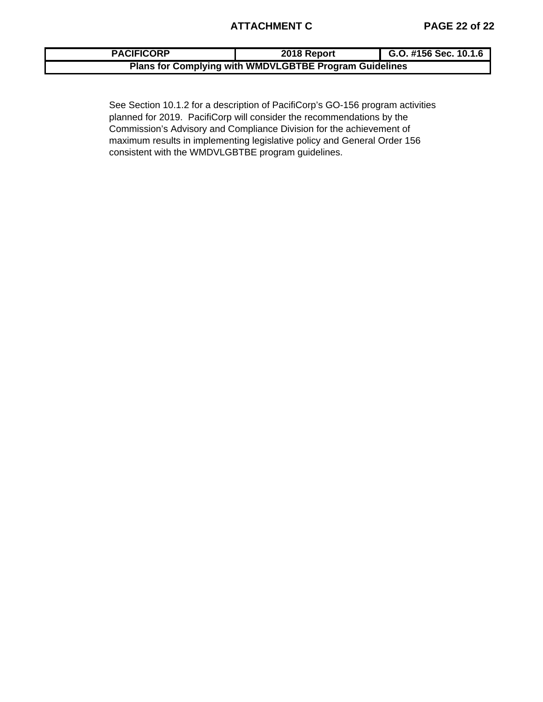| <b>PACIFICORP</b>                                      | 2018 Report | G.O. #156 Sec. 10.1.6 |  |  |  |  |  |  |
|--------------------------------------------------------|-------------|-----------------------|--|--|--|--|--|--|
| Plans for Complying with WMDVLGBTBE Program Guidelines |             |                       |  |  |  |  |  |  |

See Section 10.1.2 for a description of PacifiCorp's GO-156 program activities planned for 2019. PacifiCorp will consider the recommendations by the Commission's Advisory and Compliance Division for the achievement of maximum results in implementing legislative policy and General Order 156 consistent with the WMDVLGBTBE program guidelines.